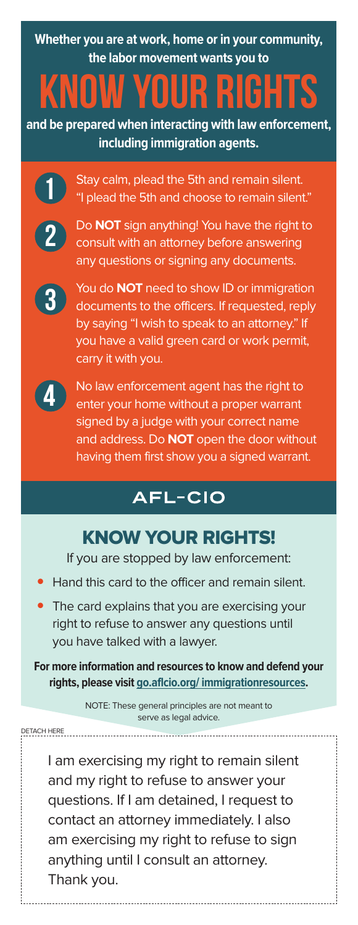**Whether you are at work, home or in your community, the labor movement wants you to** 

# Know Your Rights

**and be prepared when interacting with law enforcement, including immigration agents.**



Stay calm, plead the 5th and remain silent. "I plead the 5th and choose to remain silent."



Do **NOT** sign anything! You have the right to consult with an attorney before answering any questions or signing any documents.



You do **NOT** need to show ID or immigration documents to the officers. If requested, reply by saying "I wish to speak to an attorney." If you have a valid green card or work permit, carry it with you.



DETACH HERE

No law enforcement agent has the right to enter your home without a proper warrant signed by a judge with your correct name and address. Do **NOT** open the door without having them first show you a signed warrant.

### **AFL-CIO**

### KNOW YOUR RIGHTS!

If you are stopped by law enforcement:

- Hand this card to the officer and remain silent.
- The card explains that you are exercising your right to refuse to answer any questions until you have talked with a lawyer.

**For more information and resources to know and defend your rights, please visit go.aflcio.org/ immigrationresources.**

> NOTE: These general principles are not meant to serve as legal advice.

> > . . . . . . . . . . . . . . .

---------------------------

I am exercising my right to remain silent and my right to refuse to answer your questions. If I am detained, I request to contact an attorney immediately. I also am exercising my right to refuse to sign anything until I consult an attorney. Thank you.